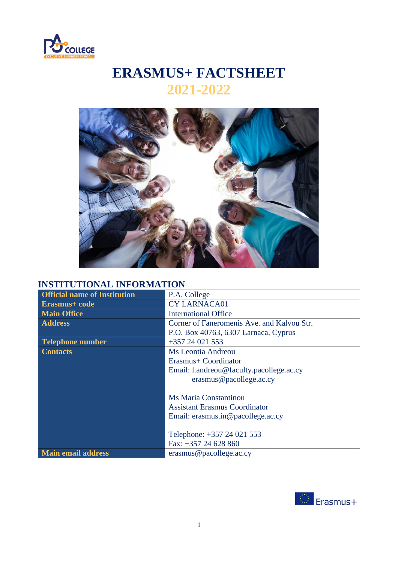

# **ERASMUS+ FACTSHEET 2021-2022**



# **INSTITUTIONAL INFORMATION**

| <b>Official name of Institution</b> | P.A. College                               |
|-------------------------------------|--------------------------------------------|
| <b>Erasmus+ code</b>                | <b>CY LARNACA01</b>                        |
| <b>Main Office</b>                  | <b>International Office</b>                |
| <b>Address</b>                      | Corner of Faneromenis Ave. and Kalvou Str. |
|                                     | P.O. Box 40763, 6307 Larnaca, Cyprus       |
| Telephone number                    | +357 24 021 553                            |
| <b>Contacts</b>                     | Ms Leontia Andreou                         |
|                                     | Erasmus+ Coordinator                       |
|                                     | Email: l.andreou@faculty.pacollege.ac.cy   |
|                                     | erasmus@pacollege.ac.cy                    |
|                                     |                                            |
|                                     | Ms Maria Constantinou                      |
|                                     | <b>Assistant Erasmus Coordinator</b>       |
|                                     | Email: erasmus.in@pacollege.ac.cy          |
|                                     |                                            |
|                                     | Telephone: +357 24 021 553                 |
|                                     | Fax: $+357$ 24 628 860                     |
| <b>Main email address</b>           | erasmus@pacollege.ac.cy                    |

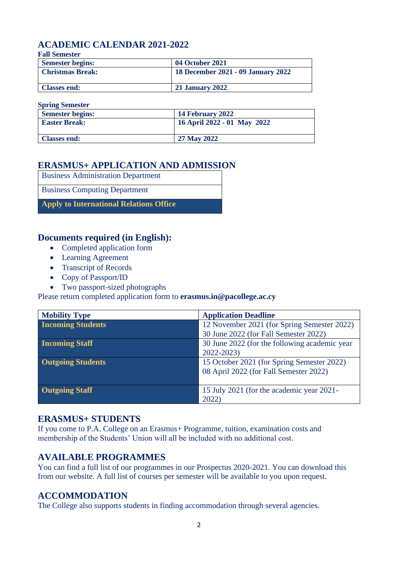# **ACADEMIC CALENDAR 2021-2022**

| <b>Semester begins:</b> | 04 October 2021                    |
|-------------------------|------------------------------------|
| <b>Christmas Break:</b> | 18 December 2021 - 09 January 2022 |
| <b>Classes end:</b>     | 21 January 2022                    |

#### **Spring Semester**

| <b>Semester begins:</b> | <b>14 February 2022</b>     |
|-------------------------|-----------------------------|
| <b>Easter Break:</b>    | 16 April 2022 - 01 May 2022 |
| <b>Classes end:</b>     | 27 May 2022                 |

#### **ERASMUS+ APPLICATION AND ADMISSION**

Business Administration Department

Business Computing Department

**Apply to International Relations Office**

#### **Documents required (in English):**

- Completed application form
- Learning Agreement
- Transcript of Records
- Copy of Passport/ID
- Two passport-sized photographs

Please return completed application form to **[erasmus.in@pacollege.ac.cy](mailto:erasmus.in@pacollege.ac.cy)**

| <b>Mobility Type</b>     | <b>Application Deadline</b>                   |
|--------------------------|-----------------------------------------------|
| <b>Incoming Students</b> | 12 November 2021 (for Spring Semester 2022)   |
|                          | 30 June 2022 (for Fall Semester 2022)         |
| <b>Incoming Staff</b>    | 30 June 2022 (for the following academic year |
|                          | 2022-2023)                                    |
| <b>Outgoing Students</b> | 15 October 2021 (for Spring Semester 2022)    |
|                          | 08 April 2022 (for Fall Semester 2022)        |
|                          |                                               |
| <b>Outgoing Staff</b>    | 15 July 2021 (for the academic year 2021-     |
|                          | 2022)                                         |

#### **ERASMUS+ STUDENTS**

If you come to P.A. College on an Erasmus+ Programme, tuition, examination costs and membership of the Students' Union will all be included with no additional cost.

### **AVAILABLE PROGRAMMES**

You can find a full list of our programmes in our Prospectus 2020-2021. You can download this from our website. A full list of courses per semester will be available to you upon request.

#### **ACCOMMODATION**

The College also supports students in finding accommodation through several agencies.